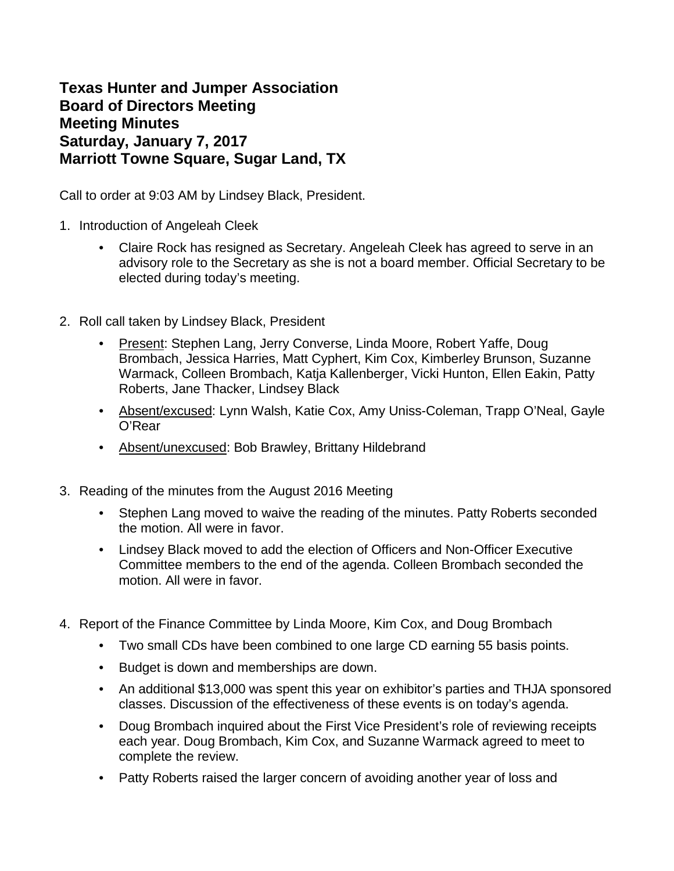**Texas Hunter and Jumper Association Board of Directors Meeting Meeting Minutes Saturday, January 7, 2017 Marriott Towne Square, Sugar Land, TX** 

Call to order at 9:03 AM by Lindsey Black, President.

- 1. Introduction of Angeleah Cleek
	- Claire Rock has resigned as Secretary. Angeleah Cleek has agreed to serve in an advisory role to the Secretary as she is not a board member. Official Secretary to be elected during today's meeting.
- 2. Roll call taken by Lindsey Black, President
	- Present: Stephen Lang, Jerry Converse, Linda Moore, Robert Yaffe, Doug Brombach, Jessica Harries, Matt Cyphert, Kim Cox, Kimberley Brunson, Suzanne Warmack, Colleen Brombach, Katja Kallenberger, Vicki Hunton, Ellen Eakin, Patty Roberts, Jane Thacker, Lindsey Black
	- Absent/excused: Lynn Walsh, Katie Cox, Amy Uniss-Coleman, Trapp O'Neal, Gayle O'Rear
	- Absent/unexcused: Bob Brawley, Brittany Hildebrand
- 3. Reading of the minutes from the August 2016 Meeting
	- Stephen Lang moved to waive the reading of the minutes. Patty Roberts seconded the motion. All were in favor.
	- Lindsey Black moved to add the election of Officers and Non-Officer Executive Committee members to the end of the agenda. Colleen Brombach seconded the motion. All were in favor.
- 4. Report of the Finance Committee by Linda Moore, Kim Cox, and Doug Brombach
	- Two small CDs have been combined to one large CD earning 55 basis points.
	- Budget is down and memberships are down.
	- An additional \$13,000 was spent this year on exhibitor's parties and THJA sponsored classes. Discussion of the effectiveness of these events is on today's agenda.
	- Doug Brombach inquired about the First Vice President's role of reviewing receipts each year. Doug Brombach, Kim Cox, and Suzanne Warmack agreed to meet to complete the review.
	- Patty Roberts raised the larger concern of avoiding another year of loss and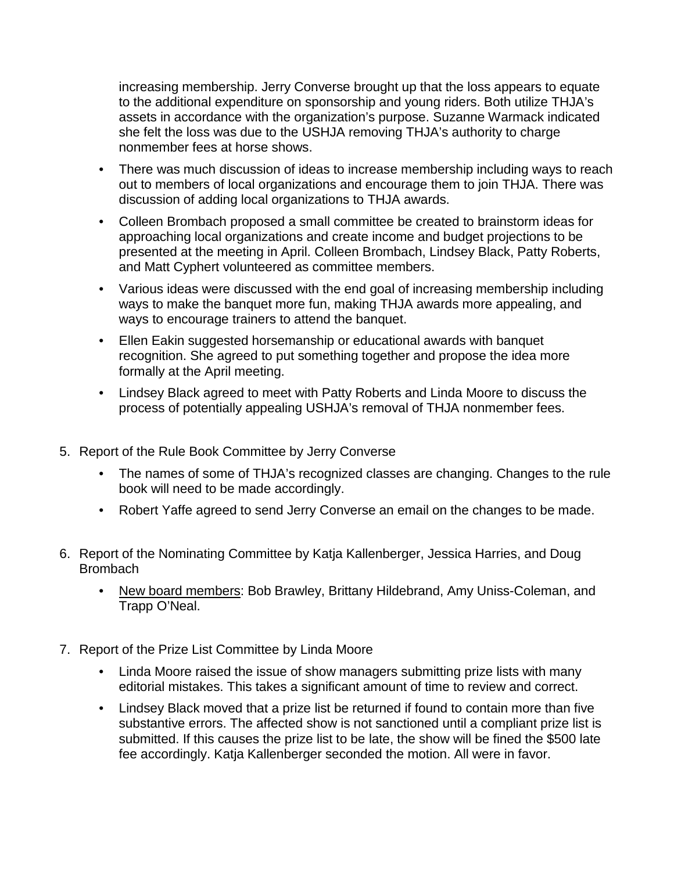increasing membership. Jerry Converse brought up that the loss appears to equate to the additional expenditure on sponsorship and young riders. Both utilize THJA's assets in accordance with the organization's purpose. Suzanne Warmack indicated she felt the loss was due to the USHJA removing THJA's authority to charge nonmember fees at horse shows.

- There was much discussion of ideas to increase membership including ways to reach out to members of local organizations and encourage them to join THJA. There was discussion of adding local organizations to THJA awards.
- Colleen Brombach proposed a small committee be created to brainstorm ideas for approaching local organizations and create income and budget projections to be presented at the meeting in April. Colleen Brombach, Lindsey Black, Patty Roberts, and Matt Cyphert volunteered as committee members.
- Various ideas were discussed with the end goal of increasing membership including ways to make the banquet more fun, making THJA awards more appealing, and ways to encourage trainers to attend the banquet.
- Ellen Eakin suggested horsemanship or educational awards with banquet recognition. She agreed to put something together and propose the idea more formally at the April meeting.
- Lindsey Black agreed to meet with Patty Roberts and Linda Moore to discuss the process of potentially appealing USHJA's removal of THJA nonmember fees.
- 5. Report of the Rule Book Committee by Jerry Converse
	- The names of some of THJA's recognized classes are changing. Changes to the rule book will need to be made accordingly.
	- Robert Yaffe agreed to send Jerry Converse an email on the changes to be made.
- 6. Report of the Nominating Committee by Katja Kallenberger, Jessica Harries, and Doug **Brombach** 
	- New board members: Bob Brawley, Brittany Hildebrand, Amy Uniss-Coleman, and Trapp O'Neal.
- 7. Report of the Prize List Committee by Linda Moore
	- Linda Moore raised the issue of show managers submitting prize lists with many editorial mistakes. This takes a significant amount of time to review and correct.
	- Lindsey Black moved that a prize list be returned if found to contain more than five substantive errors. The affected show is not sanctioned until a compliant prize list is submitted. If this causes the prize list to be late, the show will be fined the \$500 late fee accordingly. Katja Kallenberger seconded the motion. All were in favor.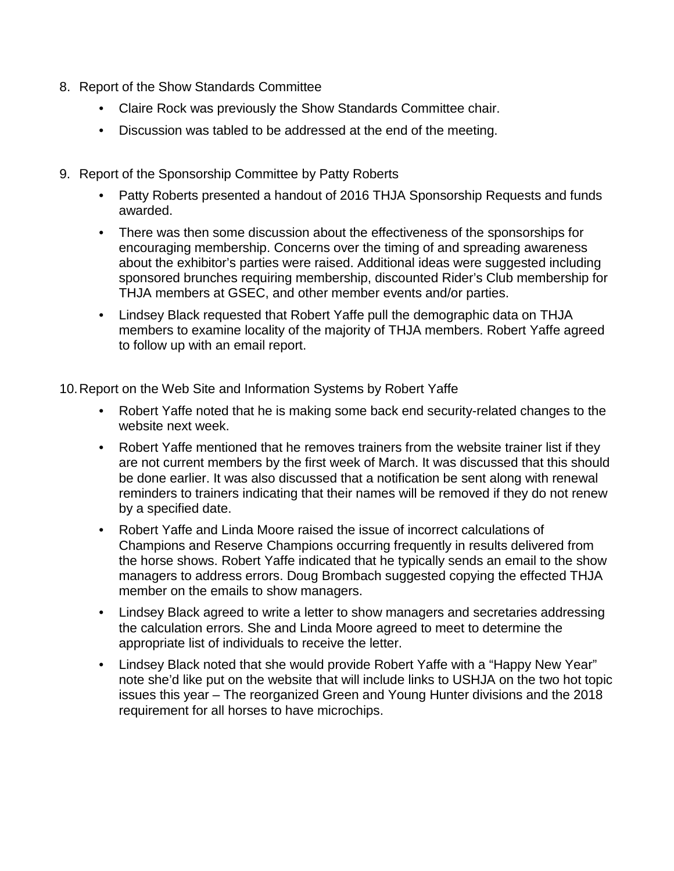- 8. Report of the Show Standards Committee
	- Claire Rock was previously the Show Standards Committee chair.
	- Discussion was tabled to be addressed at the end of the meeting.
- 9. Report of the Sponsorship Committee by Patty Roberts
	- Patty Roberts presented a handout of 2016 THJA Sponsorship Requests and funds awarded.
	- There was then some discussion about the effectiveness of the sponsorships for encouraging membership. Concerns over the timing of and spreading awareness about the exhibitor's parties were raised. Additional ideas were suggested including sponsored brunches requiring membership, discounted Rider's Club membership for THJA members at GSEC, and other member events and/or parties.
	- Lindsey Black requested that Robert Yaffe pull the demographic data on THJA members to examine locality of the majority of THJA members. Robert Yaffe agreed to follow up with an email report.

10.Report on the Web Site and Information Systems by Robert Yaffe

- Robert Yaffe noted that he is making some back end security-related changes to the website next week.
- Robert Yaffe mentioned that he removes trainers from the website trainer list if they are not current members by the first week of March. It was discussed that this should be done earlier. It was also discussed that a notification be sent along with renewal reminders to trainers indicating that their names will be removed if they do not renew by a specified date.
- Robert Yaffe and Linda Moore raised the issue of incorrect calculations of Champions and Reserve Champions occurring frequently in results delivered from the horse shows. Robert Yaffe indicated that he typically sends an email to the show managers to address errors. Doug Brombach suggested copying the effected THJA member on the emails to show managers.
- Lindsey Black agreed to write a letter to show managers and secretaries addressing the calculation errors. She and Linda Moore agreed to meet to determine the appropriate list of individuals to receive the letter.
- Lindsey Black noted that she would provide Robert Yaffe with a "Happy New Year" note she'd like put on the website that will include links to USHJA on the two hot topic issues this year – The reorganized Green and Young Hunter divisions and the 2018 requirement for all horses to have microchips.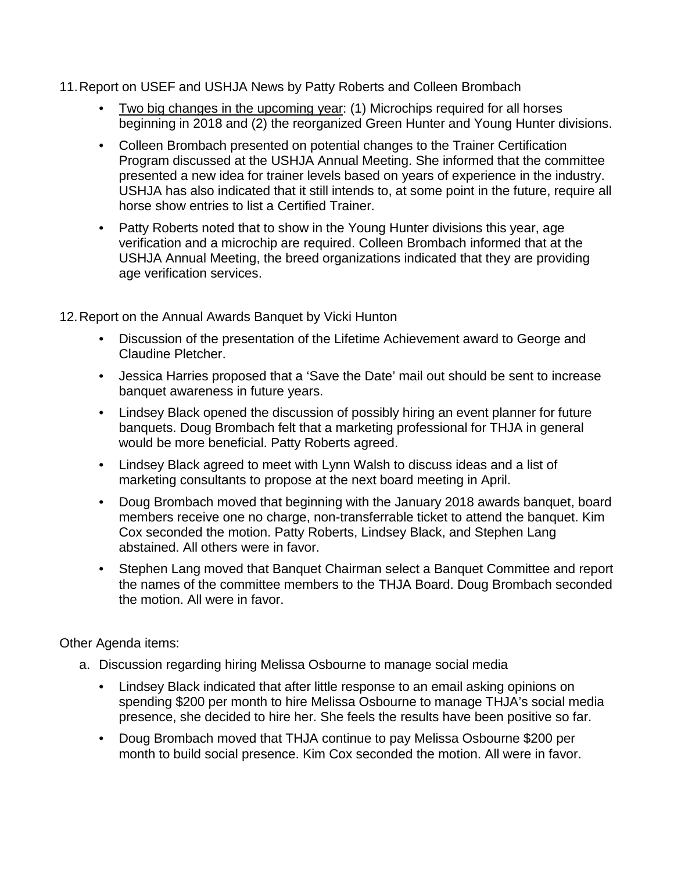## 11.Report on USEF and USHJA News by Patty Roberts and Colleen Brombach

- Two big changes in the upcoming year: (1) Microchips required for all horses beginning in 2018 and (2) the reorganized Green Hunter and Young Hunter divisions.
- Colleen Brombach presented on potential changes to the Trainer Certification Program discussed at the USHJA Annual Meeting. She informed that the committee presented a new idea for trainer levels based on years of experience in the industry. USHJA has also indicated that it still intends to, at some point in the future, require all horse show entries to list a Certified Trainer.
- Patty Roberts noted that to show in the Young Hunter divisions this year, age verification and a microchip are required. Colleen Brombach informed that at the USHJA Annual Meeting, the breed organizations indicated that they are providing age verification services.

12.Report on the Annual Awards Banquet by Vicki Hunton

- Discussion of the presentation of the Lifetime Achievement award to George and Claudine Pletcher.
- Jessica Harries proposed that a 'Save the Date' mail out should be sent to increase banquet awareness in future years.
- Lindsey Black opened the discussion of possibly hiring an event planner for future banquets. Doug Brombach felt that a marketing professional for THJA in general would be more beneficial. Patty Roberts agreed.
- Lindsey Black agreed to meet with Lynn Walsh to discuss ideas and a list of marketing consultants to propose at the next board meeting in April.
- Doug Brombach moved that beginning with the January 2018 awards banquet, board members receive one no charge, non-transferrable ticket to attend the banquet. Kim Cox seconded the motion. Patty Roberts, Lindsey Black, and Stephen Lang abstained. All others were in favor.
- Stephen Lang moved that Banquet Chairman select a Banquet Committee and report the names of the committee members to the THJA Board. Doug Brombach seconded the motion. All were in favor.

Other Agenda items:

- a. Discussion regarding hiring Melissa Osbourne to manage social media
	- Lindsey Black indicated that after little response to an email asking opinions on spending \$200 per month to hire Melissa Osbourne to manage THJA's social media presence, she decided to hire her. She feels the results have been positive so far.
	- Doug Brombach moved that THJA continue to pay Melissa Osbourne \$200 per month to build social presence. Kim Cox seconded the motion. All were in favor.